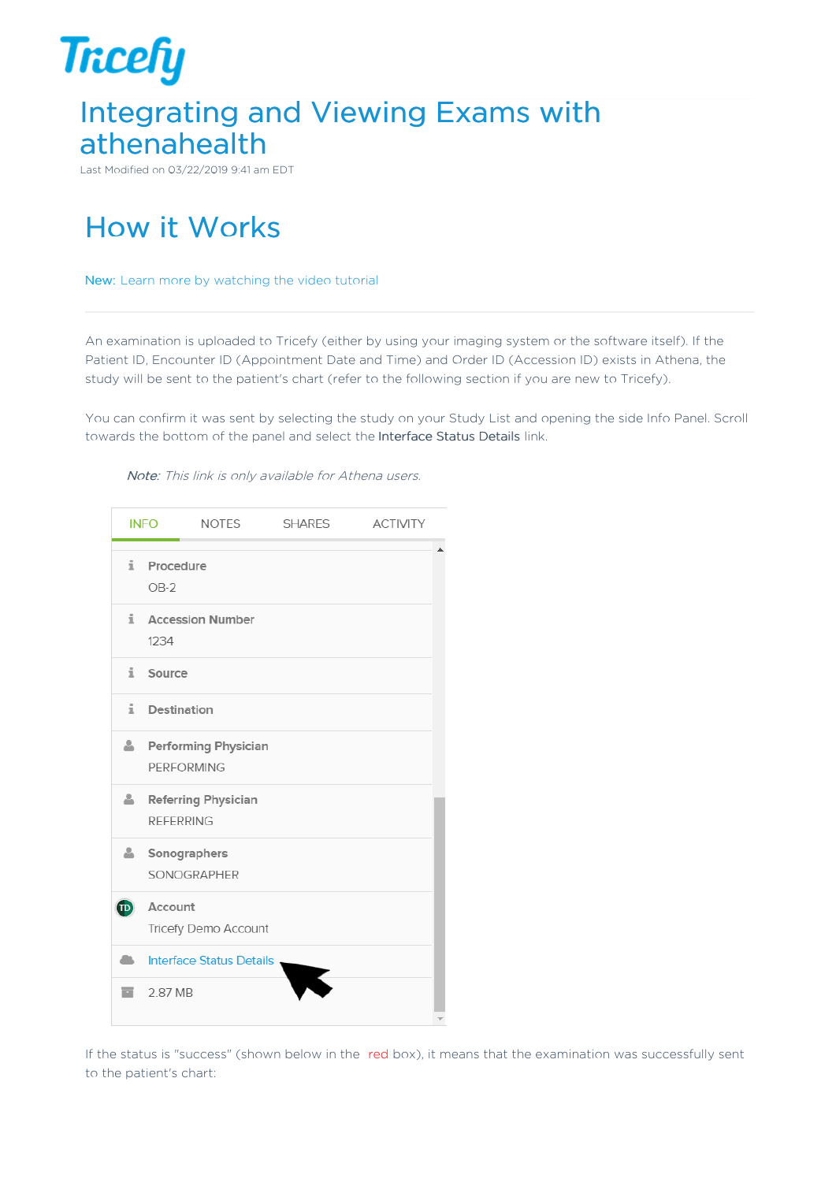

Last Modified on 03/22/2019 9:41 am EDT

# How it Works

New: Learn more by watching the video tutorial

An examination is uploaded to Tricefy (either by using your imaging system or the software itself). If the Patient ID, Encounter ID (Appointment Date and Time) and Order ID (Accession ID) exists in Athena, the study will be sent to the patient's chart (refer to the following section if you are new to Tricefy).

You can confirm it was sent by selecting the study on your Study List and opening the side Info Panel. Scroll towards the bottom of the panel and select the Interface Status Details link.



Note: This link is only available for Athena users.

If the status is "success" (shown below in the red box), it means that the examination was successfully sent to the patient's chart: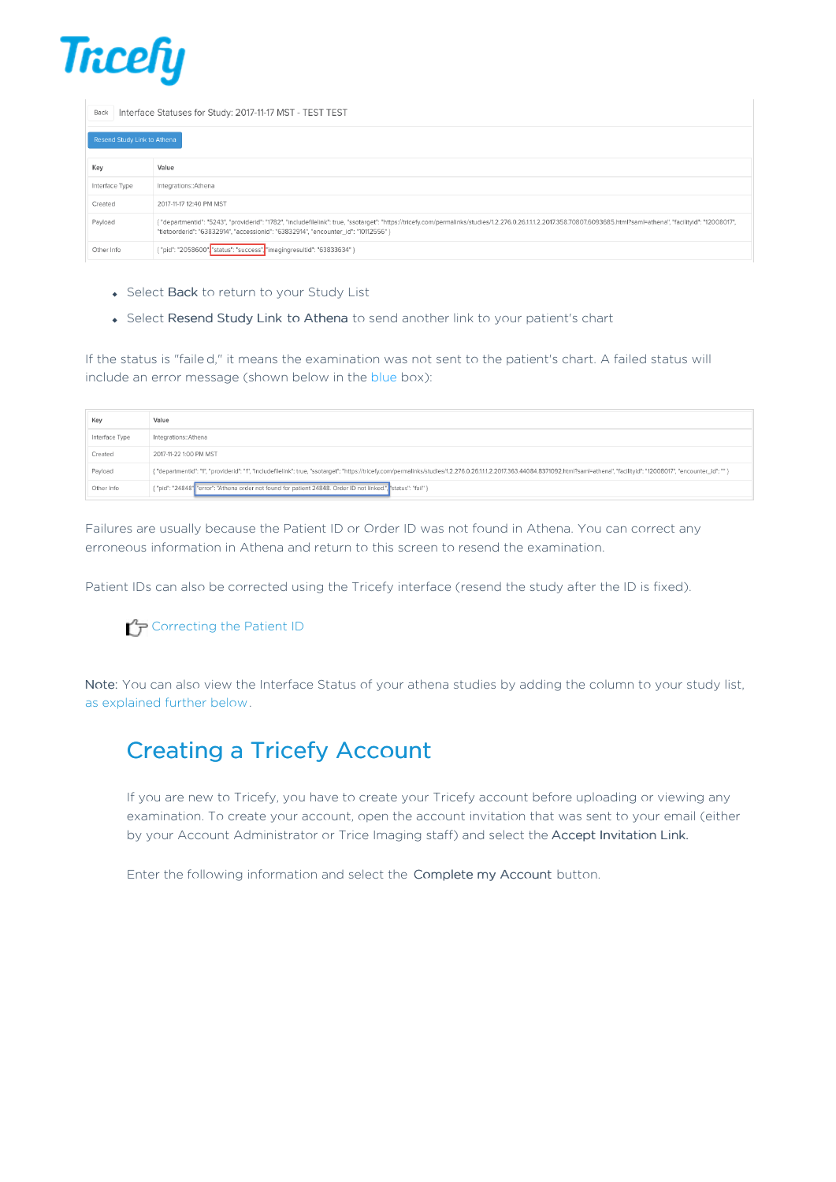

Back | Interface Statuses for Study: 2017-11-17 MST - TEST TEST

|                | Resend Study Link to Athena                                                                                                                                                                                                                                                                                  |  |  |  |  |  |  |
|----------------|--------------------------------------------------------------------------------------------------------------------------------------------------------------------------------------------------------------------------------------------------------------------------------------------------------------|--|--|--|--|--|--|
| Key            | Value                                                                                                                                                                                                                                                                                                        |  |  |  |  |  |  |
| Interface Type | Integrations::Athena                                                                                                                                                                                                                                                                                         |  |  |  |  |  |  |
| Created        | 2017-11-17 12:40 PM MST                                                                                                                                                                                                                                                                                      |  |  |  |  |  |  |
| Payload        | { "departmentid": "5243", "providerid": "1782", "includefilelink": true, "ssotarget": "https://tricefy.com/permalinks/studies/1.2.276.0.26.11.1.2.2017.358.70807.6093685.html?saml=athena", "facilityid": "12008017",<br>"tietoorderid": "63832914", "accessionid": "63832914", "encounter_id": "10112556" } |  |  |  |  |  |  |
| Other Info     | { "pid": "2058600", status": "success", "imagingresultid": "63833634" }                                                                                                                                                                                                                                      |  |  |  |  |  |  |

- Select Back to return to your Study List
- Select Resend Study Link to Athena to send another link to your patient's chart

If the status is "faile d," it means the examination was not sent to the patient's chart. A failed status will include an error message (shown below in the blue box):

| Key            | Value                                                                                                                                                                                                                          |  |  |  |  |
|----------------|--------------------------------------------------------------------------------------------------------------------------------------------------------------------------------------------------------------------------------|--|--|--|--|
| Interface Type | Integrations::Athena                                                                                                                                                                                                           |  |  |  |  |
| Created        | 2017-11-22 1:00 PM MST                                                                                                                                                                                                         |  |  |  |  |
| Payload        | { "departmentid": "1", "providerid": "1", "includefilelink": true, "ssotarget": "https://tricefy.com/permalinks/studies/1.2.276.0.26.11.1.2.2017.363.44084.8371092.html?saml=athena", "facilityid": "12008017", "encounter_id" |  |  |  |  |
| Other Info     | { "pid": "24848" "error": "Athena order not found for patient 24848. Order ID not linked.", "status": "fail" }                                                                                                                 |  |  |  |  |

Failures are usually because the Patient ID or Order ID was not found in Athena. You can correct any erroneous information in Athena and return to this screen to resend the examination.

Patient IDs can also be corrected using the Tricefy interface (resend the study after the ID is fixed).

#### $\mathcal{L}_{\mathcal{F}}$  Correcting the Patient ID

Note: You can also view the Interface Status of your athena studies by adding the column to your study list, as explained further below.

### Creating a Tricefy Account

If you are new to Tricefy, you have to create your Tricefy account before uploading or viewing any examination. To create your account, open the account invitation that was sent to your email (either by your Account Administrator or Trice Imaging staff) and select the Accept Invitation Link.

Enter the following information and select the Complete my Account button.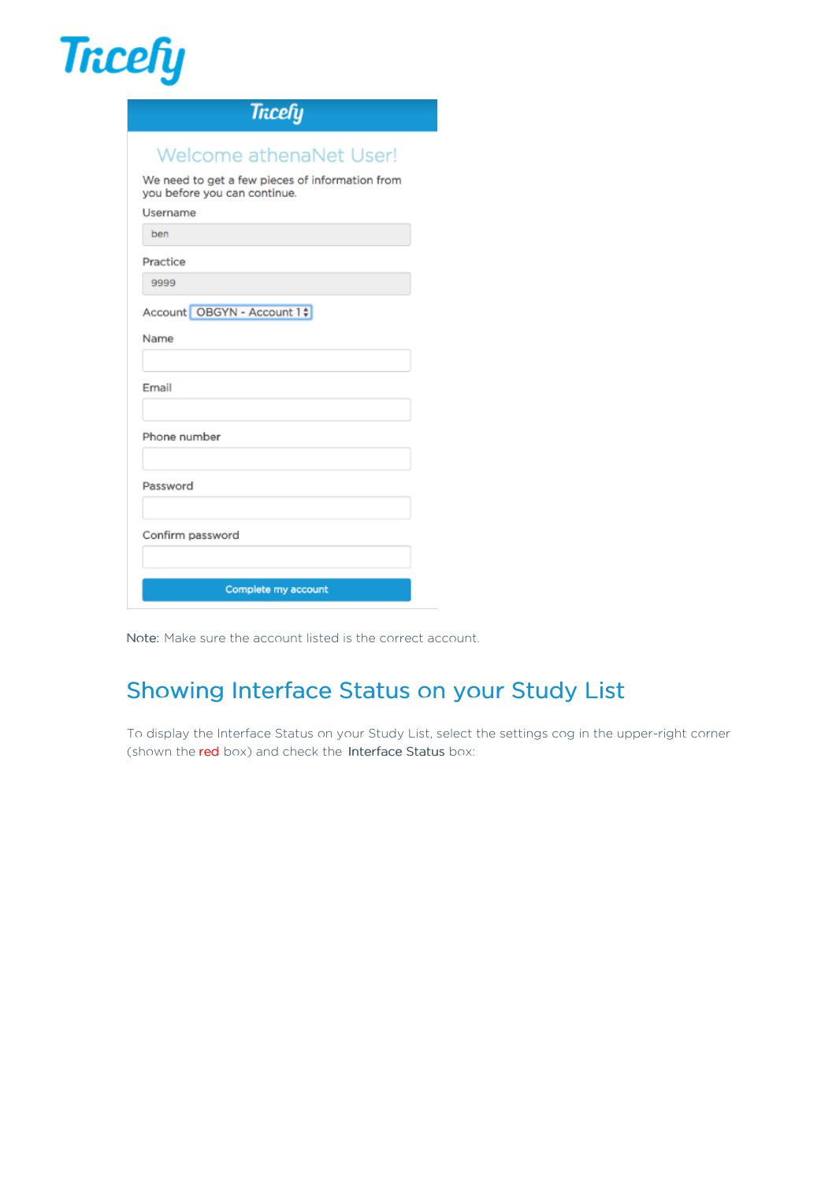

| <b>Tricefy</b>                                                                  |
|---------------------------------------------------------------------------------|
| <b>Welcome athenaNet User!</b>                                                  |
| We need to get a few pieces of information from<br>you before you can continue. |
| Username                                                                        |
| ben                                                                             |
| Practice                                                                        |
| 9999                                                                            |
| Account OBGYN - Account 1 ;                                                     |
| Name                                                                            |
| Email                                                                           |
| Phone number                                                                    |
| Password                                                                        |
| Confirm password                                                                |
|                                                                                 |
| Complete my account                                                             |

Note: Make sure the account listed is the correct account.

## Showing Interface Status on your Study List

To display the Interface Status on your Study List, select the settings cog in the upper-right corner (shown the red box) and check the Interface Status box: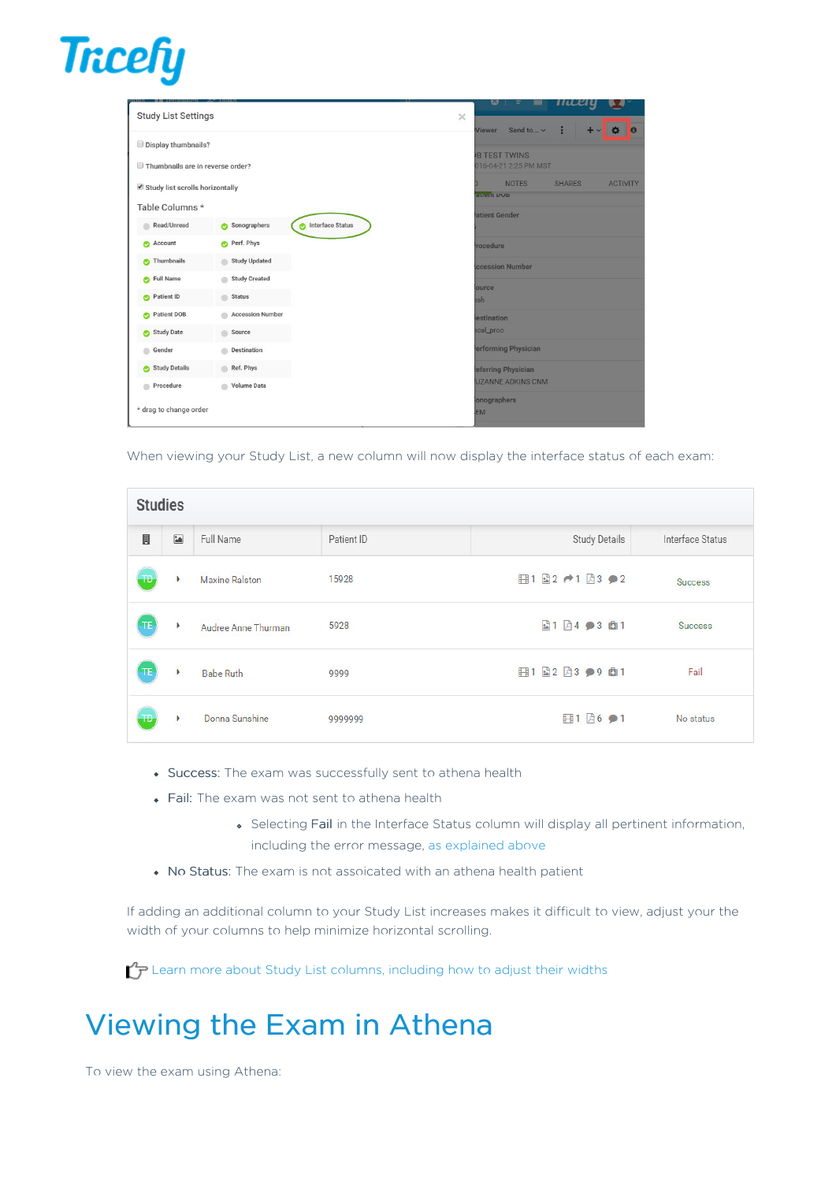

| <b>Study List Settings</b>                         |                         |                                      |  | $\times$            | w                                            |                        |               |                 |
|----------------------------------------------------|-------------------------|--------------------------------------|--|---------------------|----------------------------------------------|------------------------|---------------|-----------------|
| Display thumbnails?                                |                         |                                      |  |                     | <b>Viewer</b>                                | Send to v              | $\div$        | $\bullet$<br>о  |
| Thumbnails are in reverse order?                   |                         |                                      |  |                     | <b>B TEST TWINS</b><br>016-04-21 2:25 PM MST |                        |               |                 |
| Study list scrolls horizontally                    |                         |                                      |  |                     |                                              | <b>NOTES</b>           | <b>SHARES</b> | <b>ACTIVITY</b> |
| Table Columns *                                    |                         |                                      |  |                     | <b>Ruent DOD</b>                             |                        |               |                 |
| Read/Unread                                        | Sonographers            | <b>Interface Status</b><br>$\bullet$ |  |                     | atient Gender                                |                        |               |                 |
| Account<br>☎                                       | Perf. Phys<br>⋒         |                                      |  |                     | <i>rocedure</i>                              |                        |               |                 |
| Thumbnails<br>⋒                                    | <b>Study Updated</b>    |                                      |  |                     |                                              | <b>ccession Number</b> |               |                 |
| <b>Full Name</b><br>$\bullet$                      | <b>Study Created</b>    |                                      |  |                     | lource                                       |                        |               |                 |
| Patient ID<br><b>Status</b><br>m<br>◓              |                         |                                      |  |                     | bsh                                          |                        |               |                 |
| <b>Accession Number</b><br><b>Patient DOB</b><br>⋒ |                         |                                      |  |                     | lestination                                  |                        |               |                 |
| <b>Study Date</b><br>$\bullet$                     | Source                  |                                      |  |                     | <b>bcal_proc</b>                             |                        |               |                 |
| Destination<br>Gender                              |                         |                                      |  | erforming Physician |                                              |                        |               |                 |
| <b>Study Details</b><br>◓                          | Ref. Phys               |                                      |  |                     |                                              | eferring Physician     |               |                 |
| Procedure                                          | <b>Volume Data</b><br>ä |                                      |  |                     |                                              | UZANNE ADKINS CNM      |               |                 |
| * drag to change order                             |                         |                                      |  |                     | onographers<br><b>EM</b>                     |                        |               |                 |

When viewing your Study List, a new column will now display the interface status of each exam:

| <b>Studies</b> |                         |                       |            |               |                  |
|----------------|-------------------------|-----------------------|------------|---------------|------------------|
| $\blacksquare$ | $\overline{\mathbf{a}}$ | Full Name             | Patient ID | Study Details | Interface Status |
| $T$            | ×                       | <b>Maxine Ralston</b> | 15928      | 日1日2 →1日3 ●2  | <b>Success</b>   |
| TE             | ٠                       | Audree Anne Thurman   | 5928       | 圖1 圓4 ●3 面1   | Success          |
| TE             |                         | <b>Babe Ruth</b>      | 9999       | 日1日2日3●9日1    | Fail             |
| -TD            | ٠                       | Donna Sunshine        | 9999999    | 日1 26 ●1      | No status        |

- Success: The exam was successfully sent to athena health
- Fail: The exam was not sent to athena health
	- Selecting Fail in the Interface Status column will display all pertinent information, including the error message, as explained above
- No Status: The exam is not assoicated with an athena health patient

If adding an additional column to your Study List increases makes it difficult to view, adjust your the width of your columns to help minimize horizontal scrolling.

Learn more about Study List columns, including how to adjust their widths

# Viewing the Exam in Athena

To view the exam using Athena: